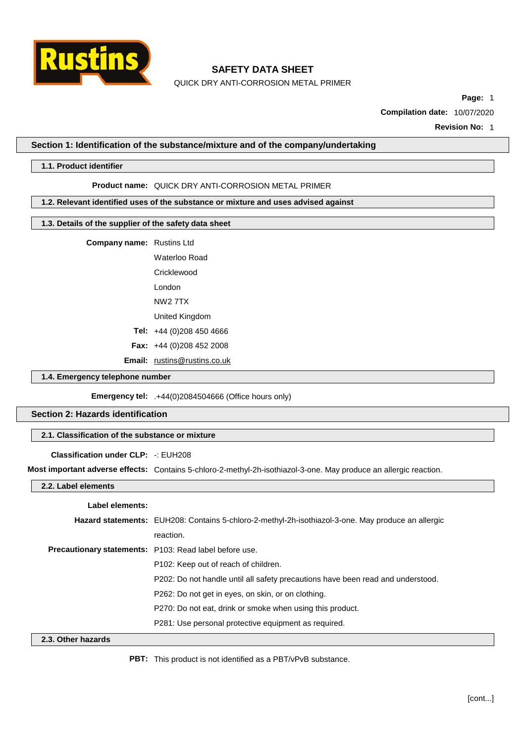

QUICK DRY ANTI-CORROSION METAL PRIMER

**Page:** 1

**Compilation date:** 10/07/2020

**Revision No:** 1

#### **Section 1: Identification of the substance/mixture and of the company/undertaking**

#### **1.1. Product identifier**

#### **Product name:** QUICK DRY ANTI-CORROSION METAL PRIMER

### **1.2. Relevant identified uses of the substance or mixture and uses advised against**

### **1.3. Details of the supplier of the safety data sheet**

**Company name:** Rustins Ltd

Waterloo Road **Cricklewood** London NW2 7TX United Kingdom

**Tel:** +44 (0)208 450 4666

**Fax:** +44 (0)208 452 2008

**Email:** [rustins@rustins.co.uk](mailto:rustins@rustins.co.uk)

#### **1.4. Emergency telephone number**

**Emergency tel:** .+44(0)2084504666 (Office hours only)

# **Section 2: Hazards identification**

#### **2.1. Classification of the substance or mixture**

#### **Classification under CLP:** -: EUH208

**Most important adverse effects:** Contains 5-chloro-2-methyl-2h-isothiazol-3-one. May produce an allergic reaction.

### **2.2. Label elements**

#### **Label elements:**

|                    | Hazard statements: EUH208: Contains 5-chloro-2-methyl-2h-isothiazol-3-one. May produce an allergic |
|--------------------|----------------------------------------------------------------------------------------------------|
|                    | reaction.                                                                                          |
|                    | <b>Precautionary statements:</b> P103: Read label before use.                                      |
|                    | P <sub>102</sub> : Keep out of reach of children.                                                  |
|                    | P202: Do not handle until all safety precautions have been read and understood.                    |
|                    | P262: Do not get in eyes, on skin, or on clothing.                                                 |
|                    | P270: Do not eat, drink or smoke when using this product.                                          |
|                    | P281: Use personal protective equipment as required.                                               |
| 2.3. Other hazards |                                                                                                    |

**PBT:** This product is not identified as a PBT/vPvB substance.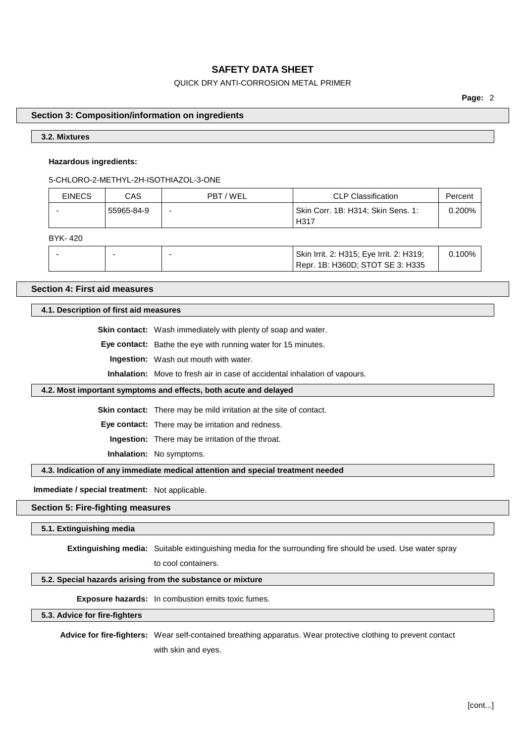# QUICK DRY ANTI-CORROSION METAL PRIMER

**Page:** 2

#### **Section 3: Composition/information on ingredients**

### **3.2. Mixtures**

#### **Hazardous ingredients:**

5-CHLORO-2-METHYL-2H-ISOTHIAZOL-3-ONE

| <b>EINECS</b> | CAS.       | PBT / WEL | <b>CLP Classification</b>                  | Percent |
|---------------|------------|-----------|--------------------------------------------|---------|
|               | 55965-84-9 | -         | Skin Corr. 1B: H314; Skin Sens. 1:<br>H317 | 0.200%  |

BYK- 420

|  | Skin Irrit. 2: H315; Eye Irrit. 2: H319;<br>Repr. 1B: H360D; STOT SE 3: H335 | $00\%$ |
|--|------------------------------------------------------------------------------|--------|
|--|------------------------------------------------------------------------------|--------|

# **Section 4: First aid measures**

### **4.1. Description of first aid measures**

**Skin contact:** Wash immediately with plenty of soap and water.

**Eye contact:** Bathe the eye with running water for 15 minutes.

**Ingestion:** Wash out mouth with water.

**Inhalation:** Move to fresh air in case of accidental inhalation of vapours.

#### **4.2. Most important symptoms and effects, both acute and delayed**

**Skin contact:** There may be mild irritation at the site of contact.

**Eye contact:** There may be irritation and redness.

**Ingestion:** There may be irritation of the throat.

**Inhalation:** No symptoms.

### **4.3. Indication of any immediate medical attention and special treatment needed**

**Immediate / special treatment:** Not applicable.

### **Section 5: Fire-fighting measures**

**5.1. Extinguishing media**

**Extinguishing media:** Suitable extinguishing media for the surrounding fire should be used. Use water spray

to cool containers.

# **5.2. Special hazards arising from the substance or mixture**

**Exposure hazards:** In combustion emits toxic fumes.

**5.3. Advice for fire-fighters**

**Advice for fire-fighters:** Wear self-contained breathing apparatus. Wear protective clothing to prevent contact with skin and eyes.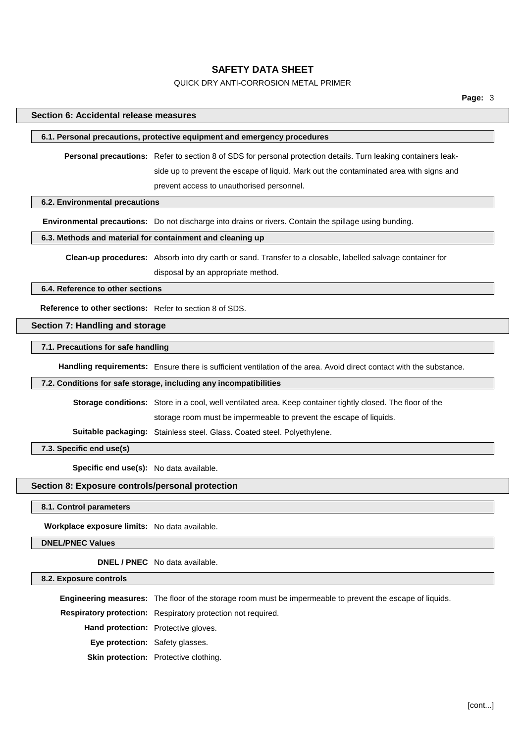### QUICK DRY ANTI-CORROSION METAL PRIMER

#### **Section 6: Accidental release measures**

#### **6.1. Personal precautions, protective equipment and emergency procedures**

**Personal precautions:** Refer to section 8 of SDS for personal protection details. Turn leaking containers leakside up to prevent the escape of liquid. Mark out the contaminated area with signs and prevent access to unauthorised personnel.

**6.2. Environmental precautions**

**Environmental precautions:** Do not discharge into drains or rivers. Contain the spillage using bunding.

## **6.3. Methods and material for containment and cleaning up**

**Clean-up procedures:** Absorb into dry earth or sand. Transfer to a closable, labelled salvage container for

disposal by an appropriate method.

**6.4. Reference to other sections**

**Reference to other sections:** Refer to section 8 of SDS.

## **Section 7: Handling and storage**

# **7.1. Precautions for safe handling**

**Handling requirements:** Ensure there is sufficient ventilation of the area. Avoid direct contact with the substance.

#### **7.2. Conditions for safe storage, including any incompatibilities**

**Storage conditions:** Store in a cool, well ventilated area. Keep container tightly closed. The floor of the

storage room must be impermeable to prevent the escape of liquids.

**Suitable packaging:** Stainless steel. Glass. Coated steel. Polyethylene.

**7.3. Specific end use(s)**

**Specific end use(s):** No data available.

### **Section 8: Exposure controls/personal protection**

**8.1. Control parameters**

**Workplace exposure limits:** No data available.

**DNEL/PNEC Values**

**DNEL / PNEC** No data available.

#### **8.2. Exposure controls**

**Engineering measures:** The floor of the storage room must be impermeable to prevent the escape of liquids. **Respiratory protection:** Respiratory protection not required. **Hand protection:** Protective gloves. **Eye protection:** Safety glasses. **Skin protection:** Protective clothing.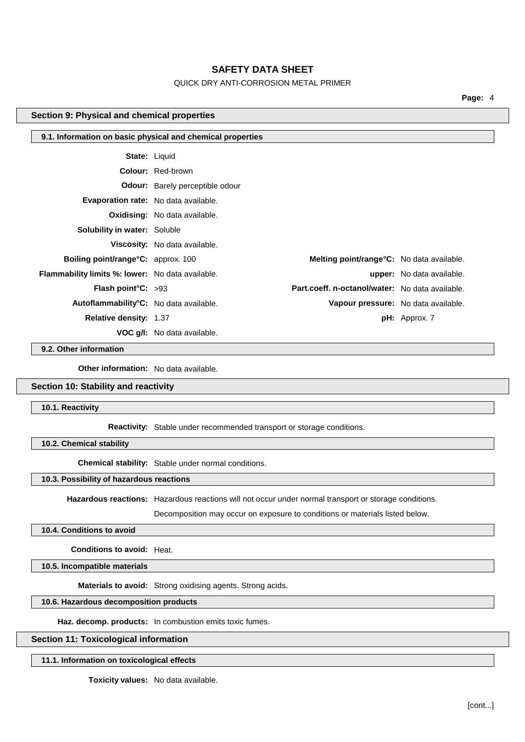# QUICK DRY ANTI-CORROSION METAL PRIMER

**Page:** 4

# **Section 9: Physical and chemical properties**

| 9.1. Information on basic physical and chemical properties |                                        |                                                   |                                  |
|------------------------------------------------------------|----------------------------------------|---------------------------------------------------|----------------------------------|
| <b>State: Liquid</b>                                       |                                        |                                                   |                                  |
|                                                            | <b>Colour: Red-brown</b>               |                                                   |                                  |
|                                                            | <b>Odour:</b> Barely perceptible odour |                                                   |                                  |
| <b>Evaporation rate:</b> No data available.                |                                        |                                                   |                                  |
|                                                            | <b>Oxidising:</b> No data available.   |                                                   |                                  |
| <b>Solubility in water: Soluble</b>                        |                                        |                                                   |                                  |
|                                                            | Viscosity: No data available.          |                                                   |                                  |
| <b>Boiling point/range °C:</b> approx. 100                 |                                        | <b>Melting point/range °C:</b> No data available. |                                  |
| <b>Flammability limits %: lower:</b> No data available.    |                                        |                                                   | <b>upper:</b> No data available. |
| <b>Flash point °C:</b> $>93$                               |                                        | Part.coeff. n-octanol/water: No data available.   |                                  |
| Autoflammability°C: No data available.                     |                                        | Vapour pressure: No data available.               |                                  |
| <b>Relative density: 1.37</b>                              |                                        |                                                   | $pH:$ Approx. 7                  |
|                                                            | <b>VOC g/l:</b> No data available.     |                                                   |                                  |

**9.2. Other information**

**Other information:** No data available.

## **Section 10: Stability and reactivity**

**10.1. Reactivity**

**Reactivity:** Stable under recommended transport or storage conditions.

**10.2. Chemical stability**

**Chemical stability:** Stable under normal conditions.

# **10.3. Possibility of hazardous reactions**

**Hazardous reactions:** Hazardous reactions will not occur under normal transport or storage conditions.

Decomposition may occur on exposure to conditions or materials listed below.

## **10.4. Conditions to avoid**

**Conditions to avoid:** Heat.

**10.5. Incompatible materials**

**Materials to avoid:** Strong oxidising agents. Strong acids.

# **10.6. Hazardous decomposition products**

**Haz. decomp. products:** In combustion emits toxic fumes.

## **Section 11: Toxicological information**

**11.1. Information on toxicological effects**

**Toxicity values:** No data available.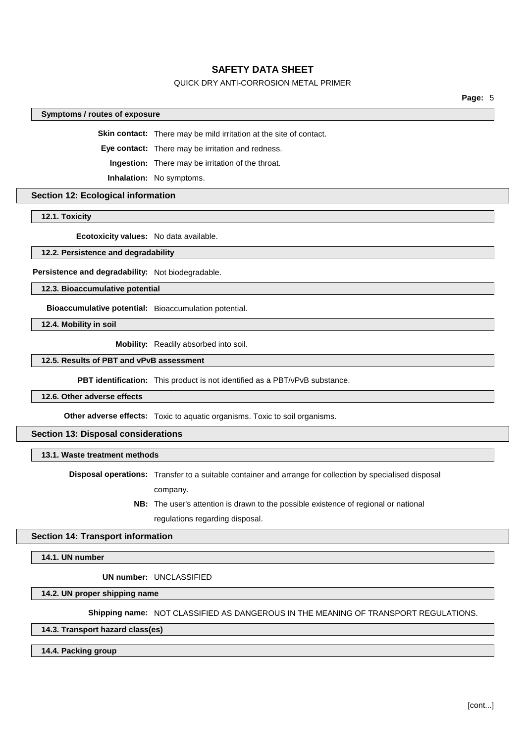# QUICK DRY ANTI-CORROSION METAL PRIMER

**Page:** 5

#### **Symptoms / routes of exposure**

**Skin contact:** There may be mild irritation at the site of contact.

**Eye contact:** There may be irritation and redness.

**Ingestion:** There may be irritation of the throat.

**Inhalation:** No symptoms.

**Section 12: Ecological information**

**12.1. Toxicity**

**Ecotoxicity values:** No data available.

**12.2. Persistence and degradability**

**Persistence and degradability:** Not biodegradable.

**12.3. Bioaccumulative potential**

**Bioaccumulative potential:** Bioaccumulation potential.

**12.4. Mobility in soil**

**Mobility:** Readily absorbed into soil.

#### **12.5. Results of PBT and vPvB assessment**

**PBT identification:** This product is not identified as a PBT/vPvB substance.

**12.6. Other adverse effects**

**Other adverse effects:** Toxic to aquatic organisms. Toxic to soil organisms.

# **Section 13: Disposal considerations**

## **13.1. Waste treatment methods**

**Disposal operations:** Transfer to a suitable container and arrange for collection by specialised disposal company.

> **NB:** The user's attention is drawn to the possible existence of regional or national regulations regarding disposal.

## **Section 14: Transport information**

**14.1. UN number**

**UN number:** UNCLASSIFIED

**14.2. UN proper shipping name**

**Shipping name:** NOT CLASSIFIED AS DANGEROUS IN THE MEANING OF TRANSPORT REGULATIONS.

**14.3. Transport hazard class(es)**

**14.4. Packing group**